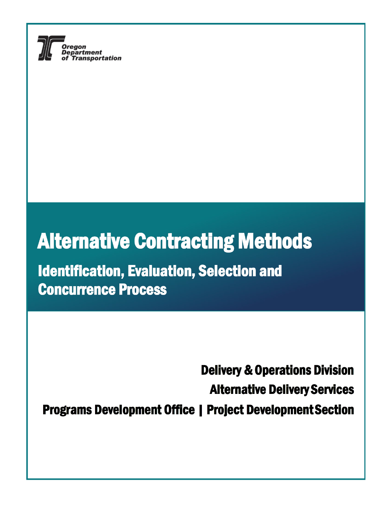

# **Alternative Contracting Methods**

**Identification, Evaluation, Selection and Concurrence Process** 

**Delivery & Operations Division Alternative Delivery Services Programs Development Office | Project Development Section**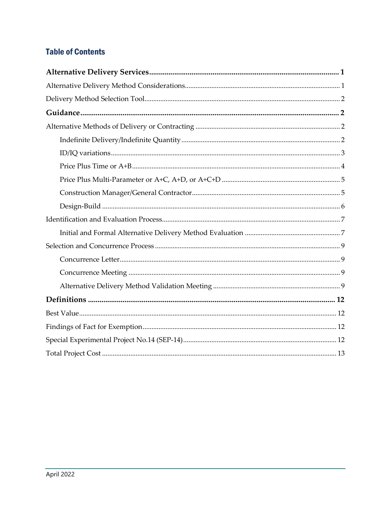### **Table of Contents**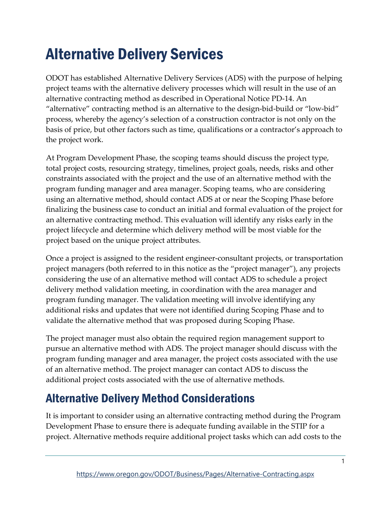# <span id="page-2-0"></span>Alternative Delivery Services

ODOT has established Alternative Delivery Services (ADS) with the purpose of helping project teams with the alternative delivery processes which will result in the use of an alternative contracting method as described in Operational Notice PD-14. An "alternative" contracting method is an alternative to the design-bid-build or "low-bid" process, whereby the agency's selection of a construction contractor is not only on the basis of price, but other factors such as time, qualifications or a contractor's approach to the project work.

At Program Development Phase, the scoping teams should discuss the project type, total project costs, resourcing strategy, timelines, project goals, needs, risks and other constraints associated with the project and the use of an alternative method with the program funding manager and area manager. Scoping teams, who are considering using an alternative method, should contact ADS at or near the Scoping Phase before finalizing the business case to conduct an initial and formal evaluation of the project for an alternative contracting method. This evaluation will identify any risks early in the project lifecycle and determine which delivery method will be most viable for the project based on the unique project attributes.

Once a project is assigned to the resident engineer-consultant projects, or transportation project managers (both referred to in this notice as the "project manager"), any projects considering the use of an alternative method will contact ADS to schedule a project delivery method validation meeting, in coordination with the area manager and program funding manager. The validation meeting will involve identifying any additional risks and updates that were not identified during Scoping Phase and to validate the alternative method that was proposed during Scoping Phase.

The project manager must also obtain the required region management support to pursue an alternative method with ADS. The project manager should discuss with the program funding manager and area manager, the project costs associated with the use of an alternative method. The project manager can contact ADS to discuss the additional project costs associated with the use of alternative methods.

# <span id="page-2-1"></span>Alternative Delivery Method Considerations

It is important to consider using an alternative contracting method during the Program Development Phase to ensure there is adequate funding available in the STIP for a project. Alternative methods require additional project tasks which can add costs to the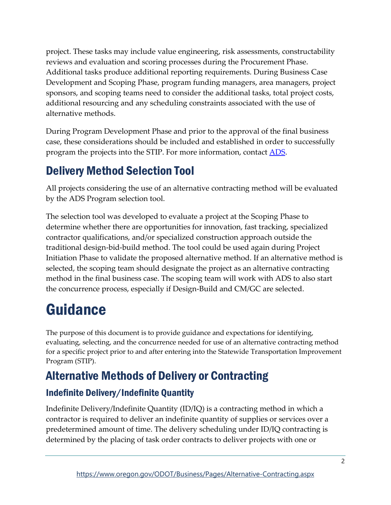project. These tasks may include value engineering, risk assessments, constructability reviews and evaluation and scoring processes during the Procurement Phase. Additional tasks produce additional reporting requirements. During Business Case Development and Scoping Phase, program funding managers, area managers, project sponsors, and scoping teams need to consider the additional tasks, total project costs, additional resourcing and any scheduling constraints associated with the use of alternative methods.

During Program Development Phase and prior to the approval of the final business case, these considerations should be included and established in order to successfully program the projects into the STIP. For more information, contact [ADS.](mailto:innovative.delivery@odot.state.or.us)

# <span id="page-3-0"></span>Delivery Method Selection Tool

All projects considering the use of an alternative contracting method will be evaluated by the ADS Program selection tool.

The selection tool was developed to evaluate a project at the Scoping Phase to determine whether there are opportunities for innovation, fast tracking, specialized contractor qualifications, and/or specialized construction approach outside the traditional design-bid-build method. The tool could be used again during Project Initiation Phase to validate the proposed alternative method. If an alternative method is selected, the scoping team should designate the project as an alternative contracting method in the final business case. The scoping team will work with ADS to also start the concurrence process, especially if Design-Build and CM/GC are selected.

# <span id="page-3-1"></span>Guidance

The purpose of this document is to provide guidance and expectations for identifying, evaluating, selecting, and the concurrence needed for use of an alternative contracting method for a specific project prior to and after entering into the Statewide Transportation Improvement Program (STIP).

# <span id="page-3-2"></span>Alternative Methods of Delivery or Contracting

## <span id="page-3-3"></span>Indefinite Delivery/Indefinite Quantity

Indefinite Delivery/Indefinite Quantity (ID/IQ) is a contracting method in which a contractor is required to deliver an indefinite quantity of supplies or services over a predetermined amount of time. The delivery scheduling under ID/IQ contracting is determined by the placing of task order contracts to deliver projects with one or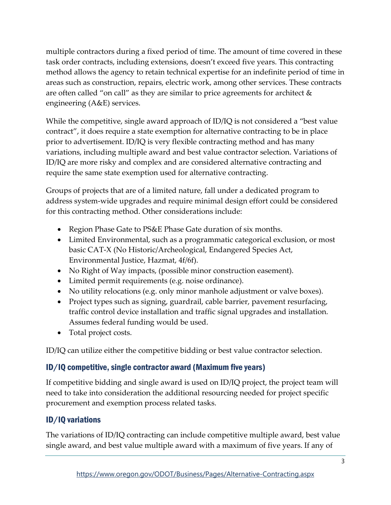multiple contractors during a fixed period of time. The amount of time covered in these task order contracts, including extensions, doesn't exceed five years. This contracting method allows the agency to retain technical expertise for an indefinite period of time in areas such as construction, repairs, electric work, among other services. These contracts are often called "on call" as they are similar to price agreements for architect  $\&$ engineering (A&E) services.

While the competitive, single award approach of ID/IQ is not considered a "best value contract", it does require a state exemption for alternative contracting to be in place prior to advertisement. ID/IQ is very flexible contracting method and has many variations, including multiple award and best value contractor selection. Variations of ID/IQ are more risky and complex and are considered alternative contracting and require the same state exemption used for alternative contracting.

Groups of projects that are of a limited nature, fall under a dedicated program to address system-wide upgrades and require minimal design effort could be considered for this contracting method. Other considerations include:

- Region Phase Gate to PS&E Phase Gate duration of six months.
- Limited Environmental, such as a programmatic categorical exclusion, or most basic CAT-X (No Historic/Archeological, Endangered Species Act, Environmental Justice, Hazmat, 4f/6f).
- No Right of Way impacts, (possible minor construction easement).
- Limited permit requirements (e.g. noise ordinance).
- No utility relocations (e.g. only minor manhole adjustment or valve boxes).
- Project types such as signing, guardrail, cable barrier, pavement resurfacing, traffic control device installation and traffic signal upgrades and installation. Assumes federal funding would be used.
- Total project costs.

ID/IQ can utilize either the competitive bidding or best value contractor selection.

### ID/IQ competitive, single contractor award (Maximum five years)

If competitive bidding and single award is used on ID/IQ project, the project team will need to take into consideration the additional resourcing needed for project specific procurement and exemption process related tasks.

### <span id="page-4-0"></span>ID/IQ variations

The variations of ID/IQ contracting can include competitive multiple award, best value single award, and best value multiple award with a maximum of five years. If any of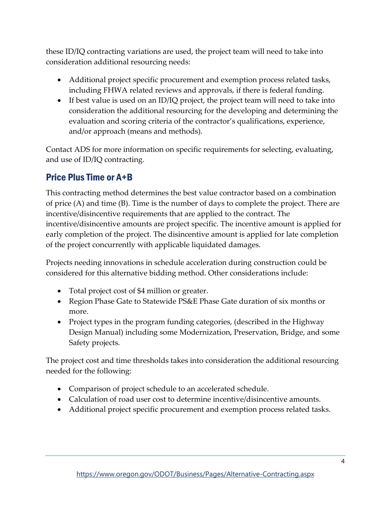these ID/IQ contracting variations are used, the project team will need to take into consideration additional resourcing needs:

- Additional project specific procurement and exemption process related tasks, including FHWA related reviews and approvals, if there is federal funding.
- If best value is used on an ID/IQ project, the project team will need to take into consideration the additional resourcing for the developing and determining the evaluation and scoring criteria of the contractor's qualifications, experience, and/or approach (means and methods).

Contact ADS for more information on specific requirements for selecting, evaluating, and use of ID/IQ contracting.

## <span id="page-5-0"></span>Price Plus Time or A+B

This contracting method determines the best value contractor based on a combination of price (A) and time (B). Time is the number of days to complete the project. There are incentive/disincentive requirements that are applied to the contract. The incentive/disincentive amounts are project specific. The incentive amount is applied for early completion of the project. The disincentive amount is applied for late completion of the project concurrently with applicable liquidated damages.

Projects needing innovations in schedule acceleration during construction could be considered for this alternative bidding method. Other considerations include:

- Total project cost of \$4 million or greater.
- Region Phase Gate to Statewide PS&E Phase Gate duration of six months or more.
- Project types in the program funding categories, (described in the Highway Design Manual) including some Modernization, Preservation, Bridge, and some Safety projects.

The project cost and time thresholds takes into consideration the additional resourcing needed for the following:

- Comparison of project schedule to an accelerated schedule.
- Calculation of road user cost to determine incentive/disincentive amounts.
- Additional project specific procurement and exemption process related tasks.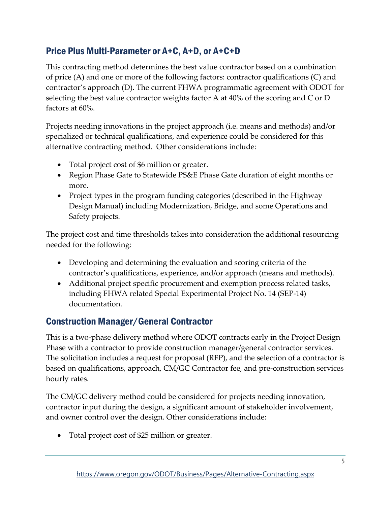## <span id="page-6-0"></span>Price Plus Multi-Parameter or A+C, A+D, or A+C+D

This contracting method determines the best value contractor based on a combination of price (A) and one or more of the following factors: contractor qualifications (C) and contractor's approach (D). The current FHWA programmatic agreement with ODOT for selecting the best value contractor weights factor A at 40% of the scoring and C or D factors at 60%.

Projects needing innovations in the project approach (i.e. means and methods) and/or specialized or technical qualifications, and experience could be considered for this alternative contracting method. Other considerations include:

- Total project cost of \$6 million or greater.
- Region Phase Gate to Statewide PS&E Phase Gate duration of eight months or more.
- Project types in the program funding categories (described in the Highway Design Manual) including Modernization, Bridge, and some Operations and Safety projects.

The project cost and time thresholds takes into consideration the additional resourcing needed for the following:

- Developing and determining the evaluation and scoring criteria of the contractor's qualifications, experience, and/or approach (means and methods).
- Additional project specific procurement and exemption process related tasks, including FHWA related Special Experimental Project No. 14 (SEP-14) documentation.

## <span id="page-6-1"></span>Construction Manager/General Contractor

This is a two-phase delivery method where ODOT contracts early in the Project Design Phase with a contractor to provide construction manager/general contractor services. The solicitation includes a request for proposal (RFP), and the selection of a contractor is based on qualifications, approach, CM/GC Contractor fee, and pre-construction services hourly rates.

The CM/GC delivery method could be considered for projects needing innovation, contractor input during the design, a significant amount of stakeholder involvement, and owner control over the design. Other considerations include:

• Total project cost of \$25 million or greater.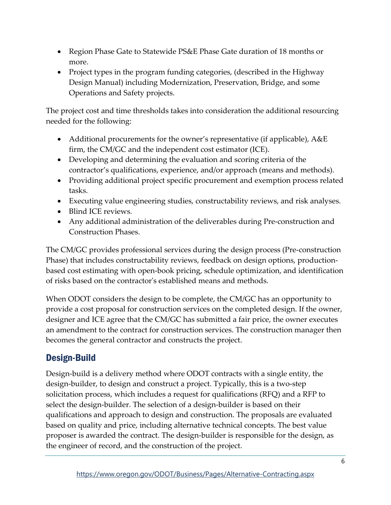- Region Phase Gate to Statewide PS&E Phase Gate duration of 18 months or more.
- Project types in the program funding categories, (described in the Highway Design Manual) including Modernization, Preservation, Bridge, and some Operations and Safety projects.

The project cost and time thresholds takes into consideration the additional resourcing needed for the following:

- Additional procurements for the owner's representative (if applicable),  $A \& E$ firm, the CM/GC and the independent cost estimator (ICE).
- Developing and determining the evaluation and scoring criteria of the contractor's qualifications, experience, and/or approach (means and methods).
- Providing additional project specific procurement and exemption process related tasks.
- Executing value engineering studies, constructability reviews, and risk analyses.
- Blind ICE reviews.
- Any additional administration of the deliverables during Pre-construction and Construction Phases.

The CM/GC provides professional services during the design process (Pre-construction Phase) that includes constructability reviews, feedback on design options, productionbased cost estimating with open-book pricing, schedule optimization, and identification of risks based on the contractor's established means and methods.

When ODOT considers the design to be complete, the CM/GC has an opportunity to provide a cost proposal for construction services on the completed design. If the owner, designer and ICE agree that the CM/GC has submitted a fair price, the owner executes an amendment to the contract for construction services. The construction manager then becomes the general contractor and constructs the project.

## <span id="page-7-0"></span>Design-Build

Design-build is a delivery method where ODOT contracts with a single entity, the design-builder, to design and construct a project. Typically, this is a two-step solicitation process, which includes a request for qualifications (RFQ) and a RFP to select the design-builder. The selection of a design-builder is based on their qualifications and approach to design and construction. The proposals are evaluated based on quality and price, including alternative technical concepts. The best value proposer is awarded the contract. The design-builder is responsible for the design, as the engineer of record, and the construction of the project.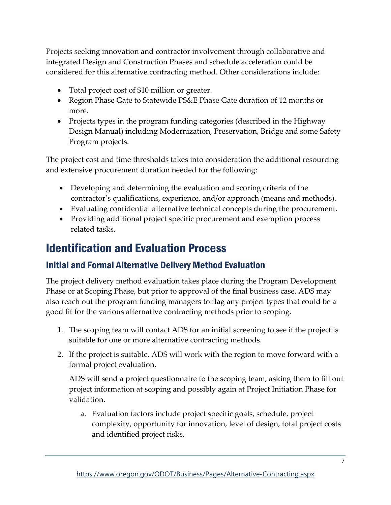Projects seeking innovation and contractor involvement through collaborative and integrated Design and Construction Phases and schedule acceleration could be considered for this alternative contracting method. Other considerations include:

- Total project cost of \$10 million or greater.
- Region Phase Gate to Statewide PS&E Phase Gate duration of 12 months or more.
- Projects types in the program funding categories (described in the Highway Design Manual) including Modernization, Preservation, Bridge and some Safety Program projects.

The project cost and time thresholds takes into consideration the additional resourcing and extensive procurement duration needed for the following:

- Developing and determining the evaluation and scoring criteria of the contractor's qualifications, experience, and/or approach (means and methods).
- Evaluating confidential alternative technical concepts during the procurement.
- Providing additional project specific procurement and exemption process related tasks.

## <span id="page-8-0"></span>Identification and Evaluation Process

### <span id="page-8-1"></span>Initial and Formal Alternative Delivery Method Evaluation

The project delivery method evaluation takes place during the Program Development Phase or at Scoping Phase, but prior to approval of the final business case. ADS may also reach out the program funding managers to flag any project types that could be a good fit for the various alternative contracting methods prior to scoping.

- 1. The scoping team will contact ADS for an initial screening to see if the project is suitable for one or more alternative contracting methods.
- 2. If the project is suitable, ADS will work with the region to move forward with a formal project evaluation.

ADS will send a project questionnaire to the scoping team, asking them to fill out project information at scoping and possibly again at Project Initiation Phase for validation.

a. Evaluation factors include project specific goals, schedule, project complexity, opportunity for innovation, level of design, total project costs and identified project risks.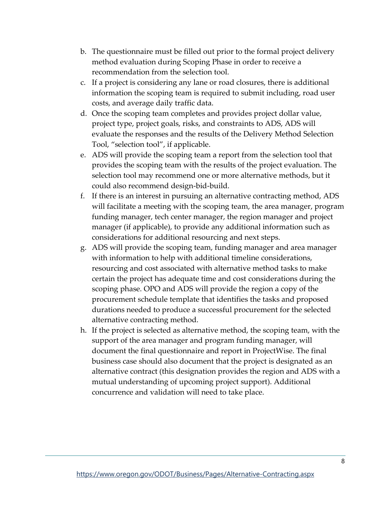- b. The questionnaire must be filled out prior to the formal project delivery method evaluation during Scoping Phase in order to receive a recommendation from the selection tool.
- c. If a project is considering any lane or road closures, there is additional information the scoping team is required to submit including, road user costs, and average daily traffic data.
- d. Once the scoping team completes and provides project dollar value, project type, project goals, risks, and constraints to ADS, ADS will evaluate the responses and the results of the Delivery Method Selection Tool, "selection tool", if applicable.
- e. ADS will provide the scoping team a report from the selection tool that provides the scoping team with the results of the project evaluation. The selection tool may recommend one or more alternative methods, but it could also recommend design-bid-build.
- f. If there is an interest in pursuing an alternative contracting method, ADS will facilitate a meeting with the scoping team, the area manager, program funding manager, tech center manager, the region manager and project manager (if applicable), to provide any additional information such as considerations for additional resourcing and next steps.
- g. ADS will provide the scoping team, funding manager and area manager with information to help with additional timeline considerations, resourcing and cost associated with alternative method tasks to make certain the project has adequate time and cost considerations during the scoping phase. OPO and ADS will provide the region a copy of the procurement schedule template that identifies the tasks and proposed durations needed to produce a successful procurement for the selected alternative contracting method.
- h. If the project is selected as alternative method, the scoping team, with the support of the area manager and program funding manager, will document the final questionnaire and report in ProjectWise. The final business case should also document that the project is designated as an alternative contract (this designation provides the region and ADS with a mutual understanding of upcoming project support). Additional concurrence and validation will need to take place.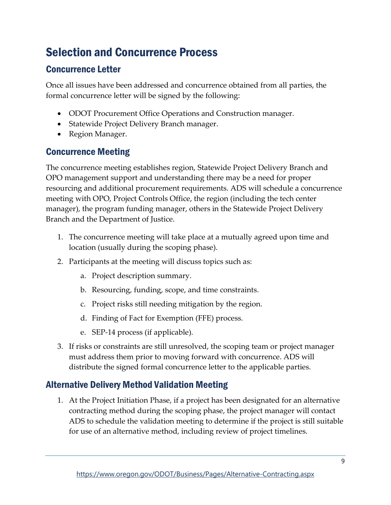# <span id="page-10-0"></span>Selection and Concurrence Process

### <span id="page-10-1"></span>Concurrence Letter

Once all issues have been addressed and concurrence obtained from all parties, the formal concurrence letter will be signed by the following:

- ODOT Procurement Office Operations and Construction manager.
- Statewide Project Delivery Branch manager.
- Region Manager.

#### <span id="page-10-2"></span>Concurrence Meeting

The concurrence meeting establishes region, Statewide Project Delivery Branch and OPO management support and understanding there may be a need for proper resourcing and additional procurement requirements. ADS will schedule a concurrence meeting with OPO, Project Controls Office, the region (including the tech center manager), the program funding manager, others in the Statewide Project Delivery Branch and the Department of Justice.

- 1. The concurrence meeting will take place at a mutually agreed upon time and location (usually during the scoping phase).
- 2. Participants at the meeting will discuss topics such as:
	- a. Project description summary.
	- b. Resourcing, funding, scope, and time constraints.
	- c. Project risks still needing mitigation by the region.
	- d. Finding of Fact for Exemption (FFE) process.
	- e. SEP-14 process (if applicable).
- 3. If risks or constraints are still unresolved, the scoping team or project manager must address them prior to moving forward with concurrence. ADS will distribute the signed formal concurrence letter to the applicable parties.

#### <span id="page-10-3"></span>Alternative Delivery Method Validation Meeting

1. At the Project Initiation Phase, if a project has been designated for an alternative contracting method during the scoping phase, the project manager will contact ADS to schedule the validation meeting to determine if the project is still suitable for use of an alternative method, including review of project timelines.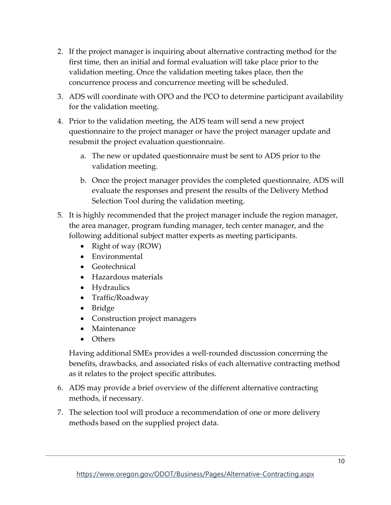- 2. If the project manager is inquiring about alternative contracting method for the first time, then an initial and formal evaluation will take place prior to the validation meeting. Once the validation meeting takes place, then the concurrence process and concurrence meeting will be scheduled.
- 3. ADS will coordinate with OPO and the PCO to determine participant availability for the validation meeting.
- 4. Prior to the validation meeting, the ADS team will send a new project questionnaire to the project manager or have the project manager update and resubmit the project evaluation questionnaire.
	- a. The new or updated questionnaire must be sent to ADS prior to the validation meeting.
	- b. Once the project manager provides the completed questionnaire, ADS will evaluate the responses and present the results of the Delivery Method Selection Tool during the validation meeting.
- 5. It is highly recommended that the project manager include the region manager, the area manager, program funding manager, tech center manager, and the following additional subject matter experts as meeting participants.
	- Right of way (ROW)
	- Environmental
	- Geotechnical
	- Hazardous materials
	- Hydraulics
	- Traffic/Roadway
	- Bridge
	- Construction project managers
	- Maintenance
	- Others

Having additional SMEs provides a well-rounded discussion concerning the benefits, drawbacks, and associated risks of each alternative contracting method as it relates to the project specific attributes.

- 6. ADS may provide a brief overview of the different alternative contracting methods, if necessary.
- 7. The selection tool will produce a recommendation of one or more delivery methods based on the supplied project data.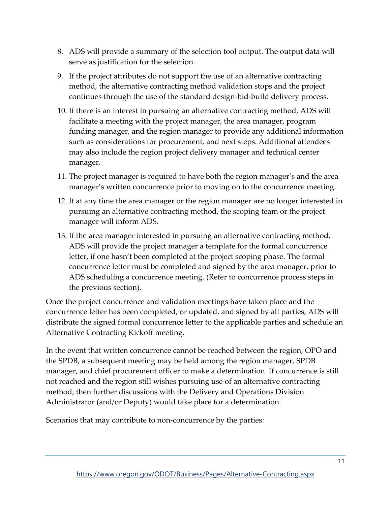- 8. ADS will provide a summary of the selection tool output. The output data will serve as justification for the selection.
- 9. If the project attributes do not support the use of an alternative contracting method, the alternative contracting method validation stops and the project continues through the use of the standard design-bid-build delivery process.
- 10. If there is an interest in pursuing an alternative contracting method, ADS will facilitate a meeting with the project manager, the area manager, program funding manager, and the region manager to provide any additional information such as considerations for procurement, and next steps. Additional attendees may also include the region project delivery manager and technical center manager.
- 11. The project manager is required to have both the region manager's and the area manager's written concurrence prior to moving on to the concurrence meeting.
- 12. If at any time the area manager or the region manager are no longer interested in pursuing an alternative contracting method, the scoping team or the project manager will inform ADS.
- 13. If the area manager interested in pursuing an alternative contracting method, ADS will provide the project manager a template for the formal concurrence letter, if one hasn't been completed at the project scoping phase. The formal concurrence letter must be completed and signed by the area manager, prior to ADS scheduling a concurrence meeting. (Refer to concurrence process steps in the previous section).

Once the project concurrence and validation meetings have taken place and the concurrence letter has been completed, or updated, and signed by all parties, ADS will distribute the signed formal concurrence letter to the applicable parties and schedule an Alternative Contracting Kickoff meeting.

In the event that written concurrence cannot be reached between the region, OPO and the SPDB, a subsequent meeting may be held among the region manager, SPDB manager, and chief procurement officer to make a determination. If concurrence is still not reached and the region still wishes pursuing use of an alternative contracting method, then further discussions with the Delivery and Operations Division Administrator (and/or Deputy) would take place for a determination.

Scenarios that may contribute to non-concurrence by the parties: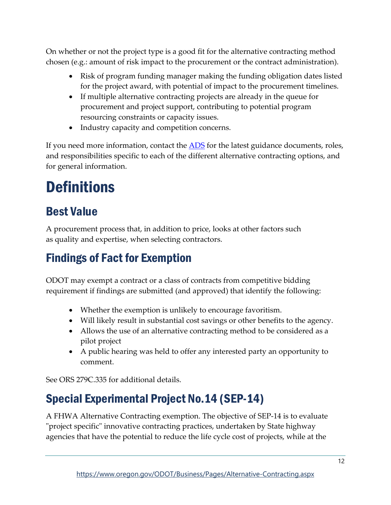On whether or not the project type is a good fit for the alternative contracting method chosen (e.g.: amount of risk impact to the procurement or the contract administration).

- Risk of program funding manager making the funding obligation dates listed for the project award, with potential of impact to the procurement timelines.
- If multiple alternative contracting projects are already in the queue for procurement and project support, contributing to potential program resourcing constraints or capacity issues.
- Industry capacity and competition concerns.

If you need more information, contact the **ADS** for the latest guidance documents, roles, and responsibilities specific to each of the different alternative contracting options, and for general information.

# <span id="page-13-0"></span>**Definitions**

# <span id="page-13-1"></span>Best Value

A [procurement](https://en.wikipedia.org/wiki/Procurement) process that, in addition to price, looks at other factors such as [quality](https://en.wikipedia.org/wiki/Quality_(business)) and expertise, when selecting [contractors.](https://en.wikipedia.org/wiki/Contractors)

# <span id="page-13-2"></span>Findings of Fact for Exemption

ODOT may exempt a contract or a class of contracts from competitive bidding requirement if findings are submitted (and approved) that identify the following:

- Whether the exemption is unlikely to encourage favoritism.
- Will likely result in substantial cost savings or other benefits to the agency.
- Allows the use of an alternative contracting method to be considered as a pilot project
- A public hearing was held to offer any interested party an opportunity to comment.

See [ORS 279C.335](https://www.oregonlaws.org/ors/279C.335) for additional details.

# <span id="page-13-3"></span>Special Experimental Project No.14 (SEP-14)

A FHWA Alternative Contracting exemption. The objective of SEP-14 is to evaluate "project specific" innovative contracting practices, undertaken by State highway agencies that have the potential to reduce the life cycle cost of projects, while at the